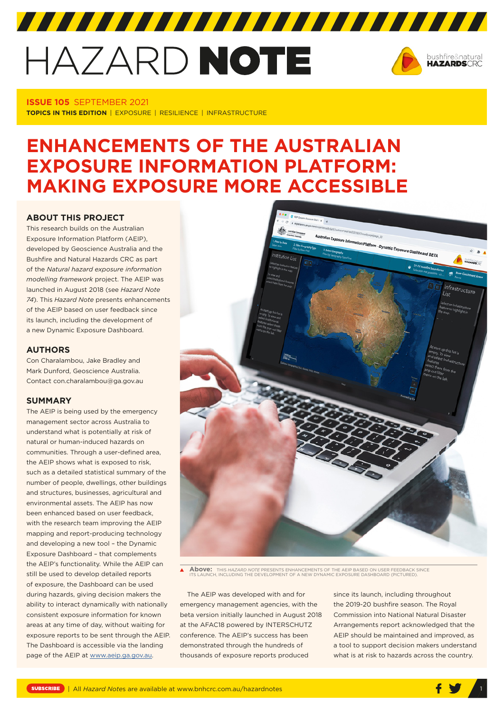# HAZARD NOTE



#### **ISSUE 105** SEPTEMBER 2021 **TOPICS IN THIS EDITION** | EXPOSURE | RESILIENCE | INFRASTRUCTURE

# **ENHANCEMENTS OF THE AUSTRALIAN EXPOSURE INFORMATION PLATFORM: MAKING EXPOSURE MORE ACCESSIBLE**

# **ABOUT THIS PROJECT**

This research builds on the Australian Exposure Information Platform (AEIP), developed by Geoscience Australia and the Bushfire and Natural Hazards CRC as part of the *Natural hazard exposure information modelling framework* project. The AEIP was launched in August 2018 (see *Hazard Note 74*). This *Hazard Note* presents enhancements of the AEIP based on user feedback since its launch, including the development of a new Dynamic Exposure Dashboard.

#### **AUTHORS**

Con Charalambou, Jake Bradley and Mark Dunford, Geoscience Australia. Contact con.charalambou@ga.gov.au

# **SUMMARY**

The AEIP is being used by the emergency management sector across Australia to understand what is potentially at risk of natural or human-induced hazards on communities. Through a user-defined area, the AEIP shows what is exposed to risk, such as a detailed statistical summary of the number of people, dwellings, other buildings and structures, businesses, agricultural and environmental assets. The AEIP has now been enhanced based on user feedback, with the research team improving the AEIP mapping and report-producing technology and developing a new tool – the Dynamic Exposure Dashboard – that complements the AEIP's functionality. While the AEIP can still be used to develop detailed reports of exposure, the Dashboard can be used during hazards, giving decision makers the ability to interact dynamically with nationally consistent exposure information for known areas at any time of day, without waiting for exposure reports to be sent through the AEIP. The Dashboard is accessible via the landing page of the AEIP at www.aeip.ga.gov.au.



**Above:** THIS *HAZARD NOTE* PRESENTS ENHANCEMENTS OF THE AEIP BASED ON USER FEEDBACK SINCE ITS LAUNCH, INCLUDING THE DEVELOPMENT OF A NEW DYNAMIC EXPOSURE DASHBOARD (PICTURED).

The AEIP was developed with and for emergency management agencies, with the beta version initially launched in August 2018 at the AFAC18 powered by INTERSCHUTZ conference. The AEIP's success has been demonstrated through the hundreds of thousands of exposure reports produced

since its launch, including throughout the 2019-20 bushfire season. The Royal Commission into National Natural Disaster Arrangements report acknowledged that the AEIP should be maintained and improved, as a tool to support decision makers understand what is at risk to hazards across the country.

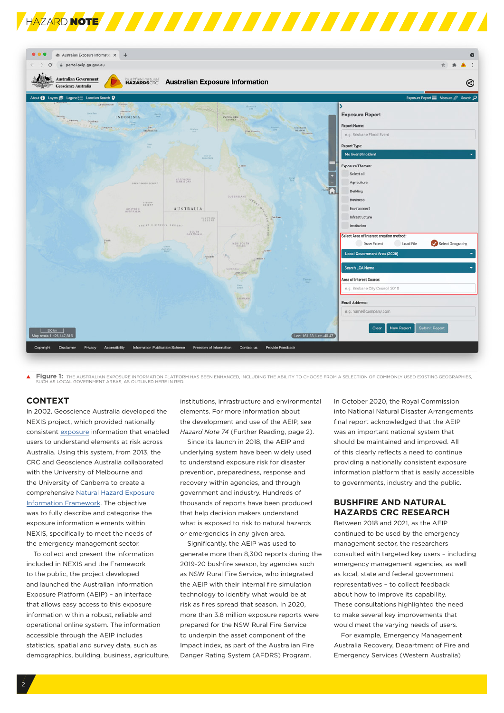



Figure 1: THE AUSTRALIAN EXPOSURE INFORMATION PLATFORM HAS BEEN ENHANCED, INCLUDING THE ABILITY TO CHOOSE FROM A SELECTION OF COMMONLY USED EXISTING GEOGRAPHIES,<br>SUCH AS LOCAL GOVERNMENT AREAS, AS OUTLINED HERE IN RED.

#### **CONTEXT**

In 2002, Geoscience Australia developed the NEXIS project, which provided nationally consistent [exposure](http://www.ga.gov.au/scientific-topics/hazards/risk-and-impact) information that enabled users to understand elements at risk across Australia. Using this system, from 2013, the CRC and Geoscience Australia collaborated with the University of Melbourne and the University of Canberra to create a comprehensive [Natural Hazard Exposure](https://www.bnhcrc.com.au/sites/default/files/managed/downloads/ra05_krishna-_natural_hazards_exposure_framework_finalversion.pdf)  [Information Framework.](https://www.bnhcrc.com.au/sites/default/files/managed/downloads/ra05_krishna-_natural_hazards_exposure_framework_finalversion.pdf) The objective was to fully describe and categorise the exposure information elements within NEXIS, specifically to meet the needs of the emergency management sector.

To collect and present the information included in NEXIS and the Framework to the public, the project developed and launched the Australian Information Exposure Platform (AEIP) – an interface that allows easy access to this exposure information within a robust, reliable and operational online system. The information accessible through the AEIP includes statistics, spatial and survey data, such as demographics, building, business, agriculture, institutions, infrastructure and environmental elements. For more information about the development and use of the AEIP, see *Hazard Note 74* (Further Reading, page 2).

Since its launch in 2018, the AEIP and underlying system have been widely used to understand exposure risk for disaster prevention, preparedness, response and recovery within agencies, and through government and industry. Hundreds of thousands of reports have been produced that help decision makers understand what is exposed to risk to natural hazards or emergencies in any given area.

Significantly, the AEIP was used to generate more than 8,300 reports during the 2019-20 bushfire season, by agencies such as NSW Rural Fire Service, who integrated the AEIP with their internal fire simulation technology to identify what would be at risk as fires spread that season. In 2020, more than 3.8 million exposure reports were prepared for the NSW Rural Fire Service to underpin the asset component of the Impact index, as part of the Australian Fire Danger Rating System (AFDRS) Program.

In October 2020, the Royal Commission into National Natural Disaster Arrangements final report acknowledged that the AEIP was an important national system that should be maintained and improved. All of this clearly reflects a need to continue providing a nationally consistent exposure information platform that is easily accessible to governments, industry and the public.

## **BUSHFIRE AND NATURAL HAZARDS CRC RESEARCH**

Between 2018 and 2021, as the AEIP continued to be used by the emergency management sector, the researchers consulted with targeted key users – including emergency management agencies, as well as local, state and federal government representatives – to collect feedback about how to improve its capability. These consultations highlighted the need to make several key improvements that would meet the varying needs of users.

For example, Emergency Management Australia Recovery, Department of Fire and Emergency Services (Western Australia)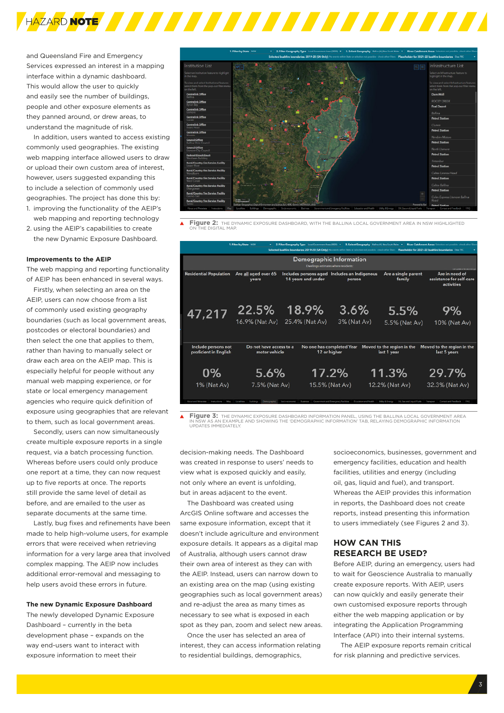

and Queensland Fire and Emergency Services expressed an interest in a mapping interface within a dynamic dashboard. This would allow the user to quickly and easily see the number of buildings, people and other exposure elements as they panned around, or drew areas, to understand the magnitude of risk.

In addition, users wanted to access existing commonly used geographies. The existing web mapping interface allowed users to draw or upload their own custom area of interest, however, users suggested expanding this to include a selection of commonly used geographies. The project has done this by: 1. improving the functionality of the AEIP's

web mapping and reporting technology 2. using the AEIP's capabilities to create

the new Dynamic Exposure Dashboard.

#### **Improvements to the AEIP**

The web mapping and reporting functionality of AEIP has been enhanced in several ways.

Firstly, when selecting an area on the AEIP, users can now choose from a list of commonly used existing geography boundaries (such as local government areas, postcodes or electoral boundaries) and then select the one that applies to them rather than having to manually select or draw each area on the AEIP map. This is especially helpful for people without any manual web mapping experience, or for state or local emergency management agencies who require quick definition of exposure using geographies that are relevant to them, such as local government areas.

Secondly, users can now simultaneously create multiple exposure reports in a single request, via a batch processing function. Whereas before users could only produce one report at a time, they can now request up to five reports at once. The reports still provide the same level of detail as before, and are emailed to the user as separate documents at the same time.

Lastly, bug fixes and refinements have been made to help high-volume users, for example errors that were received when retrieving information for a very large area that involved complex mapping. The AEIP now includes additional error-removal and messaging to help users avoid these errors in future.

#### **The new Dynamic Exposure Dashboard**

The newly developed Dynamic Exposure Dashboard – currently in the beta development phase – expands on the way end-users want to interact with exposure information to meet their



**Figure 2:** THE DYNAMIC EXPOSURE DASHBOARD, WITH THE BALLINA LOCAL GOVERNMENT AREA IN NSW HIGHLIGHTED ON THE DIGITAL MAP.

| 1. Filter by State NSW<br>2. Filter Geography Type Local Government Area (2020) ~<br>3. Select Geography Ballina (A), New South Wales ~<br>River Catchment Areas Selection not possible - check other filters<br>Selected bushfire boundaries: 2019-20 (SA Only) No owners within State or selection not possible - check other libres<br>Placeholder for 2021-22 bushfire boundaries Day IIIC |                                              |                                                                                                              |                           |                                                                               |                                                                  |                                                          |
|------------------------------------------------------------------------------------------------------------------------------------------------------------------------------------------------------------------------------------------------------------------------------------------------------------------------------------------------------------------------------------------------|----------------------------------------------|--------------------------------------------------------------------------------------------------------------|---------------------------|-------------------------------------------------------------------------------|------------------------------------------------------------------|----------------------------------------------------------|
|                                                                                                                                                                                                                                                                                                                                                                                                |                                              | <b>Demographic Information</b><br>Dwellings estimates where residents:<br>and syndams a face passereds again |                           |                                                                               |                                                                  |                                                          |
|                                                                                                                                                                                                                                                                                                                                                                                                | <b>Residential Population</b>                | Are all aged over 65<br>vears                                                                                | 14 years and under        | Includes persons aged Includes an Indigenous<br>person                        | Are a single parent<br>family                                    | Are in need of<br>assistance for self-care<br>activities |
|                                                                                                                                                                                                                                                                                                                                                                                                | 47,217                                       | 22.5%<br>16.9% (Nat Av)                                                                                      | 18.9%<br>25.4% (Nat Av)   | 3.6%<br>3% (Nat Av)                                                           | 5.5%<br>5.5% (Nat Av)                                            | ୨%<br>10% (Nat Av)                                       |
|                                                                                                                                                                                                                                                                                                                                                                                                | Include persons not<br>proficient in English | Do not have access to a<br>motor vehicle                                                                     |                           | No one has completed Year<br>12 or higher                                     | Moved to the region in the<br>last 1 year                        | Moved to the region in the<br>last 5 years               |
|                                                                                                                                                                                                                                                                                                                                                                                                | 0%                                           | 5.6%                                                                                                         |                           | 17.2%                                                                         | 11.3%                                                            | 29.7%                                                    |
|                                                                                                                                                                                                                                                                                                                                                                                                | 1% (Nat Av)<br>Alternati would Manaukana     | 7.5% (Nat Av)<br>Democraphic                                                                                 | Selection shot considered | 15.5% (Nat Av)<br>Government and Emergency Facilities<br>Education and Health | 12.2% (Nat Av)<br>Cill, Gas and Liquid Fuels<br>Unitey & Featury | 32.3% (Nat Av)<br>Contact and Feastback<br><b>FIACO</b>  |

 $\blacktriangle$ **Figure 3:** THE DYNAMIC EXPOSURE DASHBOARD INFORMATION PANEL, USING THE BALLINA LOCAL GOVERNMENT AREA IN NSW AS AN EXAMPLE AND SHOWING THE 'DEMOGRAPHIC INFORMATION' TAB, RELAYING DEMOGRAPHIC INFORMATION UPDATES IMMEDIATELY.

decision-making needs. The Dashboard was created in response to users' needs to view what is exposed quickly and easily, not only where an event is unfolding, but in areas adjacent to the event.

The Dashboard was created using ArcGIS Online software and accesses the same exposure information, except that it doesn't include agriculture and environment exposure details. It appears as a digital map of Australia, although users cannot draw their own area of interest as they can with the AEIP. Instead, users can narrow down to an existing area on the map (using existing geographies such as local government areas) and re-adjust the area as many times as necessary to see what is exposed in each spot as they pan, zoom and select new areas.

Once the user has selected an area of interest, they can access information relating to residential buildings, demographics,

socioeconomics, businesses, government and emergency facilities, education and health facilities, utilities and energy (including oil, gas, liquid and fuel), and transport. Whereas the AEIP provides this information in reports, the Dashboard does not create reports, instead presenting this information to users immediately (see Figures 2 and 3).

# **HOW CAN THIS RESEARCH BE USED?**

Before AEIP, during an emergency, users had to wait for Geoscience Australia to manually create exposure reports. With AEIP, users can now quickly and easily generate their own customised exposure reports through either the web mapping application or by integrating the Application Programming Interface (API) into their internal systems.

The AEIP exposure reports remain critical for risk planning and predictive services.